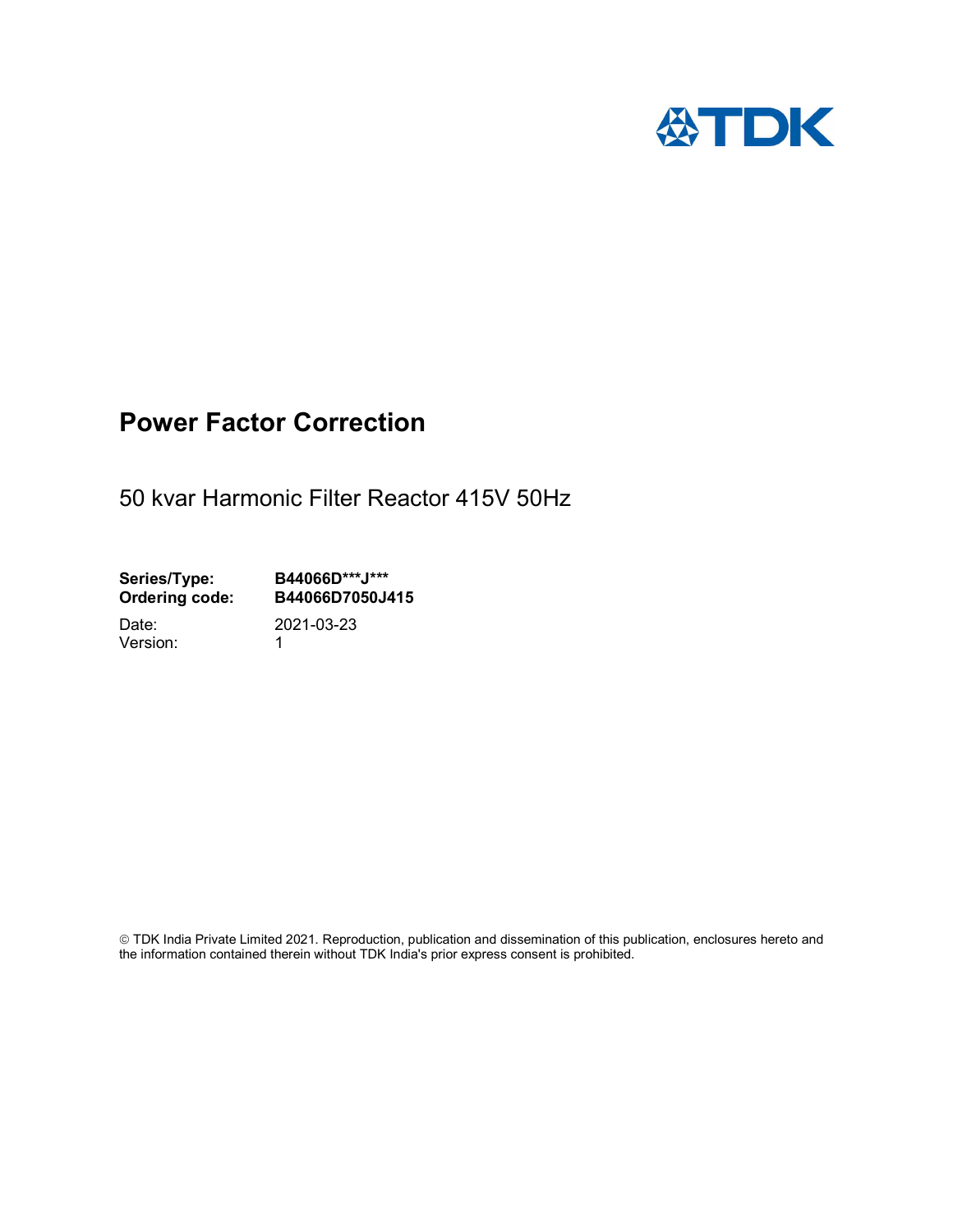

## Power Factor Correction

50 kvar Harmonic Filter Reactor 415V 50Hz

Series/Type: B44066D\*\*\*J\*\*\*<br>Ordering code: B44066D7050J4 B44066D7050J415

Version: 1

Date: 2021-03-23

 TDK India Private Limited 2021. Reproduction, publication and dissemination of this publication, enclosures hereto and the information contained therein without TDK India's prior express consent is prohibited.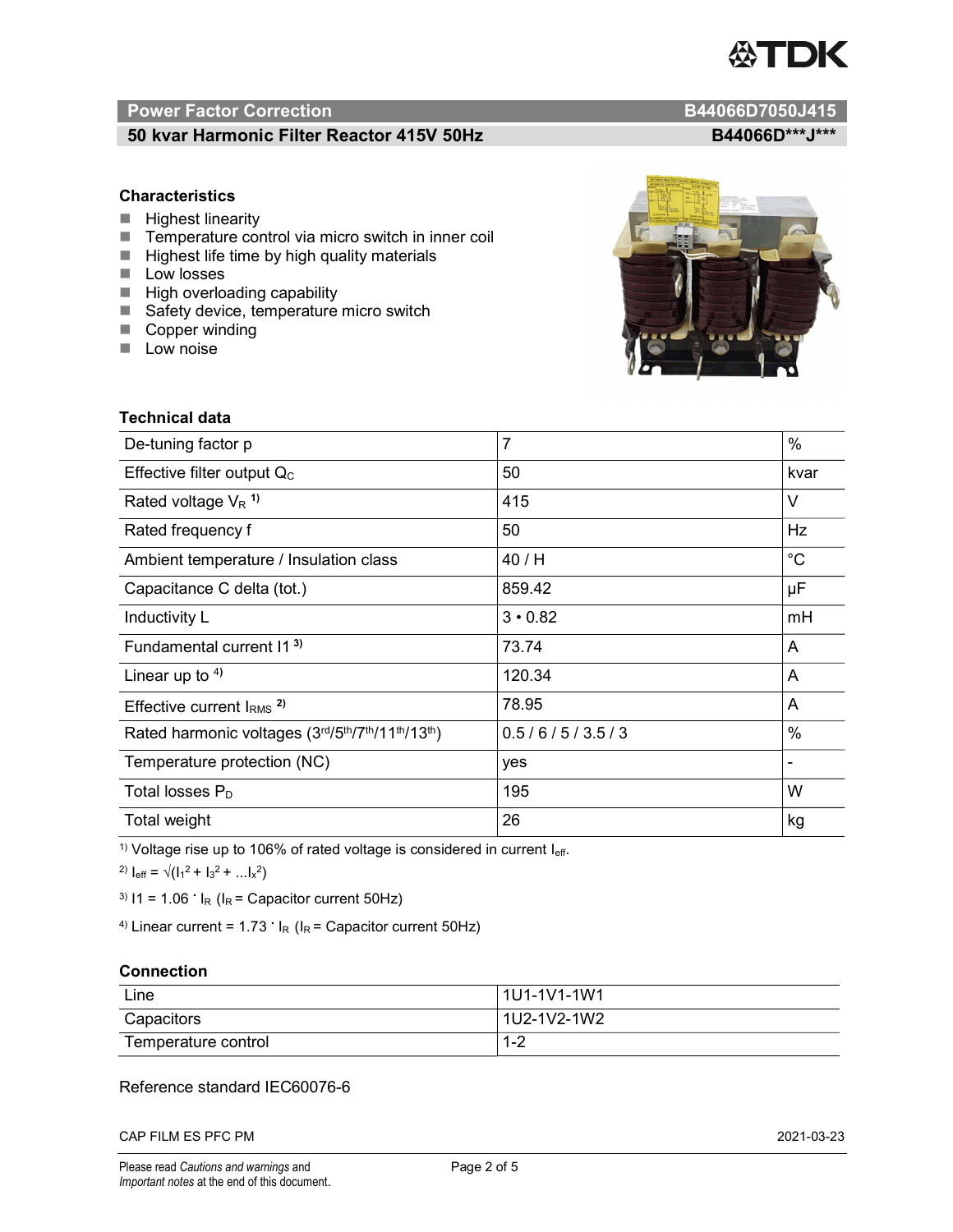# TDK

### Power Factor Correction and Content of the Content of the B44066D7050J415

#### 50 kvar Harmonic Filter Reactor 415V 50Hz B44066D\*\*\*J\*\*\*

#### **Characteristics**

- $\blacksquare$  Highest linearity
- Temperature control via micro switch in inner coil
- $\blacksquare$  Highest life time by high quality materials
- **Low losses**
- $\blacksquare$  High overloading capability
- Safety device, temperature micro switch
- Copper winding
- **Low noise**



| <b>Technical data</b>                           |                |                              |
|-------------------------------------------------|----------------|------------------------------|
| De-tuning factor p                              | $\overline{7}$ | $\%$                         |
| Effective filter output $Q_C$                   | 50             | kvar                         |
| Rated voltage $V_R$ <sup>1)</sup>               | 415            | V                            |
| Rated frequency f                               | 50             | Hz                           |
| Ambient temperature / Insulation class          | 40 / H         | $^{\circ}C$                  |
| Capacitance C delta (tot.)                      | 859.42         | μF                           |
| Inductivity L                                   | $3 \cdot 0.82$ | mH                           |
| Fundamental current 11 <sup>3)</sup>            | 73.74          | A                            |
| Linear up to $4$ )                              | 120.34         | A                            |
| Effective current $IRMS$ <sup>2)</sup>          | 78.95          | A                            |
| Rated harmonic voltages (3rd/5th/7th/11th/13th) | 0.5/6/5/3.5/3  | $\%$                         |
| Temperature protection (NC)                     | yes            | $\qquad \qquad \blacksquare$ |
| Total losses $P_D$                              | 195            | W                            |
| Total weight                                    | 26             | kg                           |

<sup>1)</sup> Voltage rise up to 106% of rated voltage is considered in current  $I_{\text{eff}}$ .

<sup>2)</sup>  $I_{eff} = \sqrt{(I_1^2 + I_3^2 + ... I_x^2)}$ 

<sup>3)</sup>  $11 = 1.06$   $\cdot$   $I_R$  ( $I_R$  = Capacitor current 50Hz)

<sup>4)</sup> Linear current =  $1.73$   $\cdot$  I<sub>R</sub> (I<sub>R</sub> = Capacitor current 50Hz)

#### **Connection**

| Line                | l 1U1-1V1-1W1       |
|---------------------|---------------------|
| Capacitors          | l 1U2-1V2-1W2       |
| Temperature control | <u> 4 ຕ</u><br>ے- ا |

#### Reference standard IEC60076-6

CAP FILM ES PFC PM 2021-03-23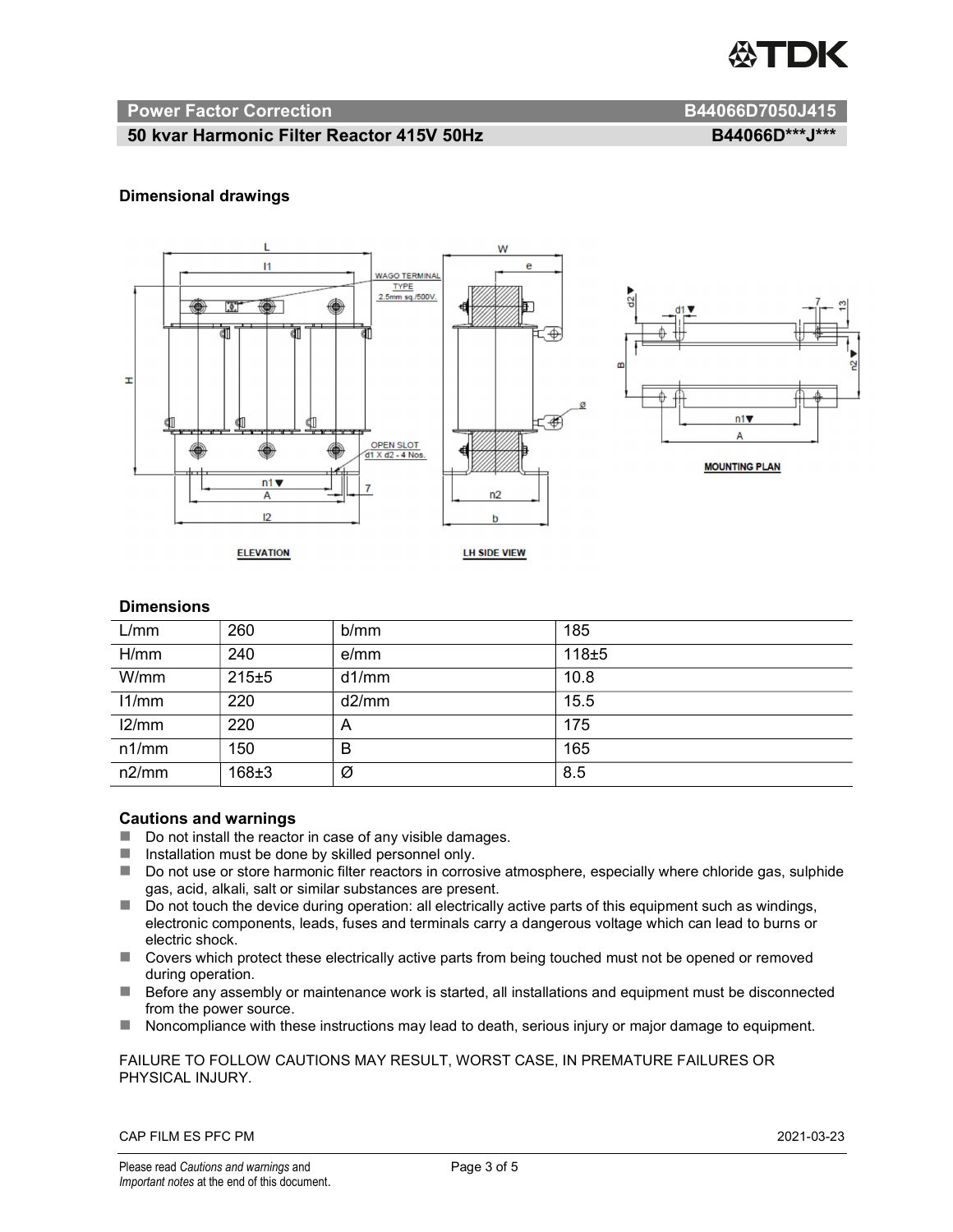

#### Power Factor Correction and B44066D7050J415

#### 50 kvar Harmonic Filter Reactor 415V 50Hz B44066D\*\*\*J\*\*\*

#### Dimensional drawings



#### **Dimensions**

| L/mm  | 260       | b/mm  | 185   |
|-------|-----------|-------|-------|
| H/mm  | 240       | e/mm  | 118±5 |
| W/mm  | 215±5     | d1/mm | 10.8  |
| 11/mm | 220       | d2/mm | 15.5  |
| 12/mm | 220       | A     | 175   |
| n1/mm | 150       | B     | 165   |
| n2/mm | $168 + 3$ | Ø     | 8.5   |

#### Cautions and warnings

- Do not install the reactor in case of any visible damages.
- $\blacksquare$  Installation must be done by skilled personnel only.
- Do not use or store harmonic filter reactors in corrosive atmosphere, especially where chloride gas, sulphide gas, acid, alkali, salt or similar substances are present.
- Do not touch the device during operation: all electrically active parts of this equipment such as windings, electronic components, leads, fuses and terminals carry a dangerous voltage which can lead to burns or electric shock.
- Covers which protect these electrically active parts from being touched must not be opened or removed during operation.
- Before any assembly or maintenance work is started, all installations and equipment must be disconnected from the power source.
- Noncompliance with these instructions may lead to death, serious injury or major damage to equipment.

FAILURE TO FOLLOW CAUTIONS MAY RESULT, WORST CASE, IN PREMATURE FAILURES OR PHYSICAL INJURY.

CAP FILM ES PFC PM 2021-03-23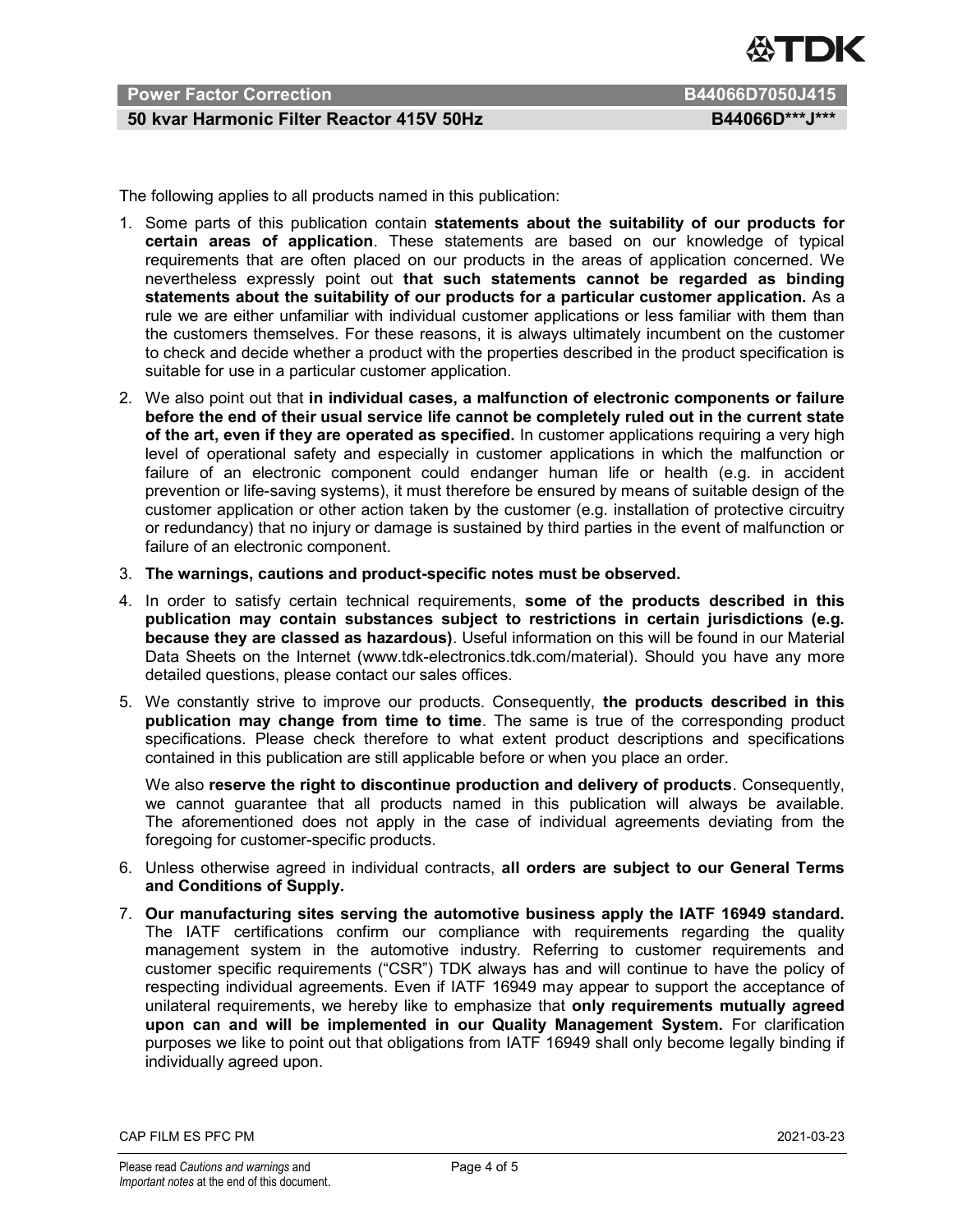

#### Power Factor Correction B44066D7050J415

#### 50 kvar Harmonic Filter Reactor 415V 50Hz B44066D\*\*\*J\*\*\*

The following applies to all products named in this publication:

- 1. Some parts of this publication contain statements about the suitability of our products for certain areas of application. These statements are based on our knowledge of typical requirements that are often placed on our products in the areas of application concerned. We nevertheless expressly point out that such statements cannot be regarded as binding statements about the suitability of our products for a particular customer application. As a rule we are either unfamiliar with individual customer applications or less familiar with them than the customers themselves. For these reasons, it is always ultimately incumbent on the customer to check and decide whether a product with the properties described in the product specification is suitable for use in a particular customer application.
- 2. We also point out that in individual cases, a malfunction of electronic components or failure before the end of their usual service life cannot be completely ruled out in the current state of the art, even if they are operated as specified. In customer applications requiring a very high level of operational safety and especially in customer applications in which the malfunction or failure of an electronic component could endanger human life or health (e.g. in accident prevention or life-saving systems), it must therefore be ensured by means of suitable design of the customer application or other action taken by the customer (e.g. installation of protective circuitry or redundancy) that no injury or damage is sustained by third parties in the event of malfunction or failure of an electronic component.
- 3. The warnings, cautions and product-specific notes must be observed.
- 4. In order to satisfy certain technical requirements, some of the products described in this publication may contain substances subject to restrictions in certain jurisdictions (e.g. because they are classed as hazardous). Useful information on this will be found in our Material Data Sheets on the Internet (www.tdk-electronics.tdk.com/material). Should you have any more detailed questions, please contact our sales offices.
- 5. We constantly strive to improve our products. Consequently, the products described in this publication may change from time to time. The same is true of the corresponding product specifications. Please check therefore to what extent product descriptions and specifications contained in this publication are still applicable before or when you place an order.

We also reserve the right to discontinue production and delivery of products. Consequently, we cannot guarantee that all products named in this publication will always be available. The aforementioned does not apply in the case of individual agreements deviating from the foregoing for customer-specific products.

- 6. Unless otherwise agreed in individual contracts, all orders are subject to our General Terms and Conditions of Supply.
- 7. Our manufacturing sites serving the automotive business apply the IATF 16949 standard. The IATF certifications confirm our compliance with requirements regarding the quality management system in the automotive industry. Referring to customer requirements and customer specific requirements ("CSR") TDK always has and will continue to have the policy of respecting individual agreements. Even if IATF 16949 may appear to support the acceptance of unilateral requirements, we hereby like to emphasize that only requirements mutually agreed upon can and will be implemented in our Quality Management System. For clarification purposes we like to point out that obligations from IATF 16949 shall only become legally binding if individually agreed upon.